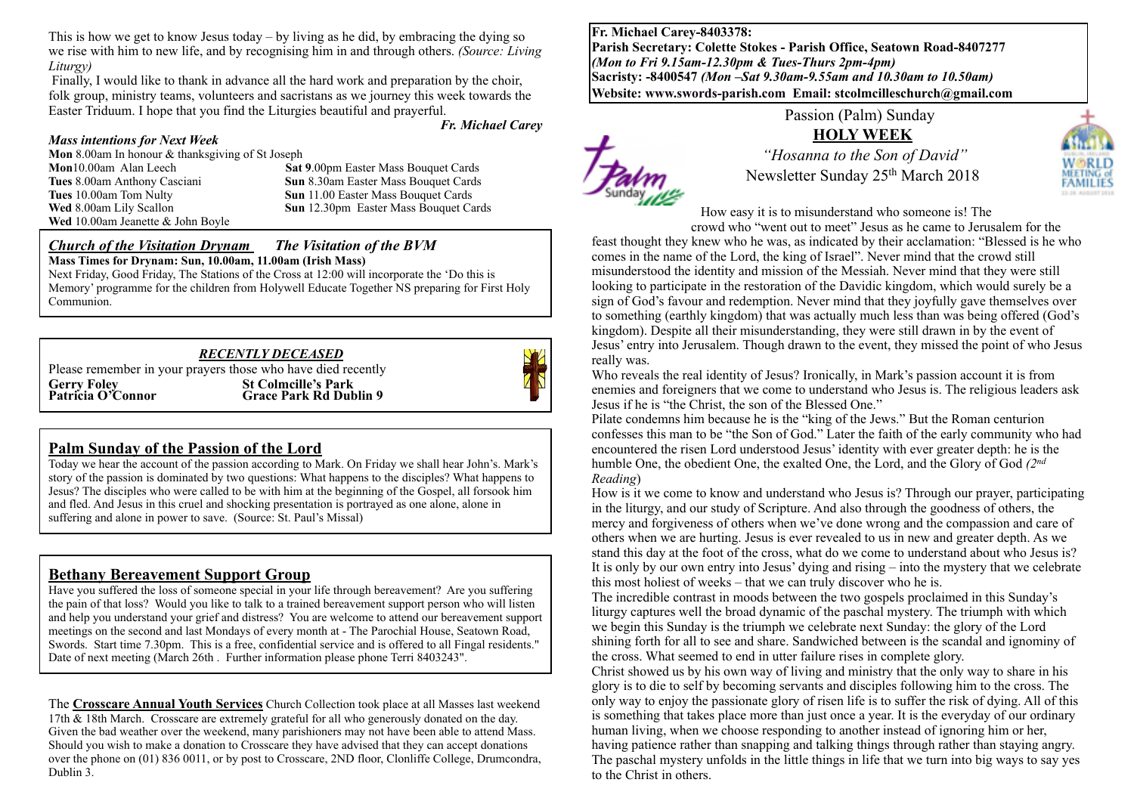This is how we get to know Jesus today – by living as he did, by embracing the dying so we rise with him to new life, and by recognising him in and through others. *(Source: Living Liturgy)*

Finally, I would like to thank in advance all the hard work and preparation by the choir, folk group, ministry teams, volunteers and sacristans as we journey this week towards the Easter Triduum. I hope that you find the Liturgies beautiful and prayerful.

*Fr. Michael Carey*

#### *Mass intentions for Next Week*

**Mon** 8.00am In honour & thanksgiving of St Joseph **Mon**10.00am Alan Leech **Sat 9.00pm** Easter Mass Bouquet Cards **Tues** 8.00am Anthony Casciani **Sun 8.30am Easter Mass Bouquet Cards**<br> **Sun 11.00 Easter Mass Bouquet Cards Wed** 8.00am Lily Scallon **Sun** 12.30pm Easter Mass Bouquet Cards **Wed** 10.00am Jeanette & John Boyle

**Sun** 11.00 Easter Mass Bouquet Cards

#### *Church of the Visitation Drynam**The Visitation of the BVM* **Mass Times for Drynam: Sun, 10.00am, 11.00am (Irish Mass)**

Next Friday, Good Friday, The Stations of the Cross at 12:00 will incorporate the 'Do this is Memory' programme for the children from Holywell Educate Together NS preparing for First Holy Communion.

#### *RECENTLY DECEASED*

Please remember in your prayers those who have died recently **Gerry Foley 61 Colmcille's Park Patricia O'Connor 61 Colmcille's Park Rd Dub Grace Park Rd Dublin 9** 



#### **Palm Sunday of the Passion of the Lord**

Today we hear the account of the passion according to Mark. On Friday we shall hear John's. Mark's story of the passion is dominated by two questions: What happens to the disciples? What happens to Jesus? The disciples who were called to be with him at the beginning of the Gospel, all forsook him and fled. And Jesus in this cruel and shocking presentation is portrayed as one alone, alone in suffering and alone in power to save. (Source: St. Paul's Missal)

#### **Bethany Bereavement Support Group**

Have you suffered the loss of someone special in your life through bereavement? Are you suffering the pain of that loss? Would you like to talk to a trained bereavement support person who will listen and help you understand your grief and distress? You are welcome to attend our bereavement support meetings on the second and last Mondays of every month at - The Parochial House, Seatown Road, Swords. Start time 7.30pm. This is a free, confidential service and is offered to all Fingal residents." Date of next meeting (March 26th . Further information please phone Terri 8403243".

The **Crosscare Annual Youth Services** Church Collection took place at all Masses last weekend 17th & 18th March. Crosscare are extremely grateful for all who generously donated on the day. Given the bad weather over the weekend, many parishioners may not have been able to attend Mass. Should you wish to make a donation to Crosscare they have advised that they can accept donations over the phone on (01) 836 0011, or by post to Crosscare, 2ND floor, Clonliffe College, Drumcondra, Dublin 3.

**Fr. Michael Carey-8403378: Parish Secretary: Colette Stokes - Parish Office, Seatown Road-8407277**  *(Mon to Fri 9.15am-12.30pm & Tues-Thurs 2pm-4pm)*  **Sacristy: -8400547** *(Mon –Sat 9.30am-9.55am and 10.30am to 10.50am)* **Website: [www.swords-parish.com Email:](http://www.swords-parish.com%20%20email) stcolmcilleschurch@gmail.com**



Passion (Palm) Sunday

#### **HOLY WEEK**

 *"Hosanna to the Son of David"*  Newsletter Sunday 25th March 2018

How easy it is to misunderstand who someone is! The

crowd who "went out to meet" Jesus as he came to Jerusalem for the

feast thought they knew who he was, as indicated by their acclamation: "Blessed is he who comes in the name of the Lord, the king of Israel". Never mind that the crowd still misunderstood the identity and mission of the Messiah. Never mind that they were still looking to participate in the restoration of the Davidic kingdom, which would surely be a sign of God's favour and redemption. Never mind that they joyfully gave themselves over to something (earthly kingdom) that was actually much less than was being offered (God's kingdom). Despite all their misunderstanding, they were still drawn in by the event of Jesus' entry into Jerusalem. Though drawn to the event, they missed the point of who Jesus really was.

Who reveals the real identity of Jesus? Ironically, in Mark's passion account it is from enemies and foreigners that we come to understand who Jesus is. The religious leaders ask Jesus if he is "the Christ, the son of the Blessed One."

Pilate condemns him because he is the "king of the Jews." But the Roman centurion confesses this man to be "the Son of God." Later the faith of the early community who had encountered the risen Lord understood Jesus' identity with ever greater depth: he is the humble One, the obedient One, the exalted One, the Lord, and the Glory of God *(2nd Reading*)

How is it we come to know and understand who Jesus is? Through our prayer, participating in the liturgy, and our study of Scripture. And also through the goodness of others, the mercy and forgiveness of others when we've done wrong and the compassion and care of others when we are hurting. Jesus is ever revealed to us in new and greater depth. As we stand this day at the foot of the cross, what do we come to understand about who Jesus is? It is only by our own entry into Jesus' dying and rising – into the mystery that we celebrate this most holiest of weeks – that we can truly discover who he is.

The incredible contrast in moods between the two gospels proclaimed in this Sunday's liturgy captures well the broad dynamic of the paschal mystery. The triumph with which we begin this Sunday is the triumph we celebrate next Sunday: the glory of the Lord shining forth for all to see and share. Sandwiched between is the scandal and ignominy of the cross. What seemed to end in utter failure rises in complete glory.

Christ showed us by his own way of living and ministry that the only way to share in his glory is to die to self by becoming servants and disciples following him to the cross. The only way to enjoy the passionate glory of risen life is to suffer the risk of dying. All of this is something that takes place more than just once a year. It is the everyday of our ordinary human living, when we choose responding to another instead of ignoring him or her, having patience rather than snapping and talking things through rather than staying angry. The paschal mystery unfolds in the little things in life that we turn into big ways to say yes to the Christ in others.